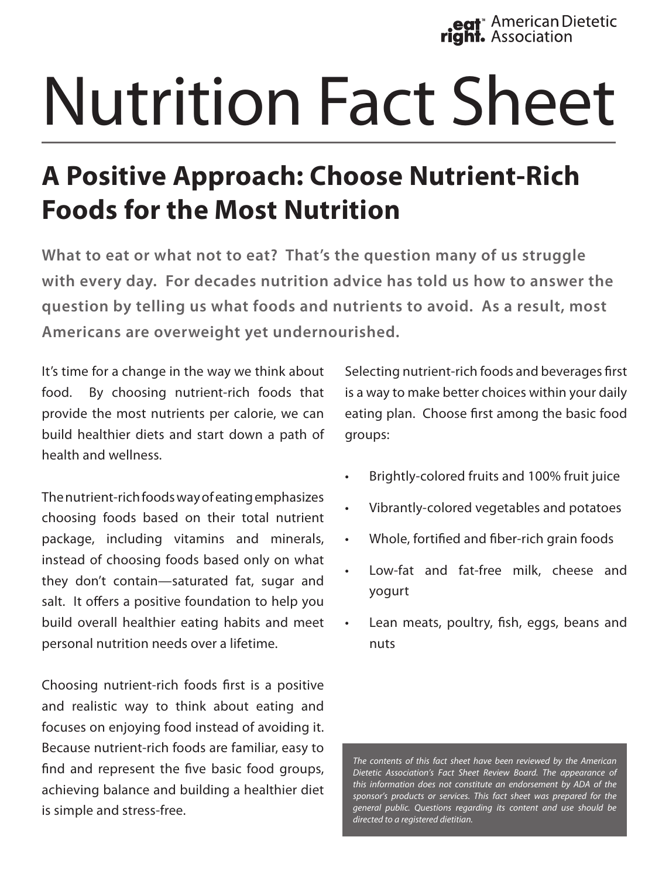eat<sup>®</sup> American Dietetic<br>ght. Association

## Nutrition Fact Sheet

## **A Positive Approach: Choose Nutrient-Rich Foods for the Most Nutrition**

**What to eat or what not to eat? That's the question many of us struggle with every day. For decades nutrition advice has told us how to answer the question by telling us what foods and nutrients to avoid. As a result, most Americans are overweight yet undernourished.**

It's time for a change in the way we think about food. By choosing nutrient-rich foods that provide the most nutrients per calorie, we can build healthier diets and start down a path of health and wellness.

The nutrient-rich foods way of eating emphasizes choosing foods based on their total nutrient package, including vitamins and minerals, instead of choosing foods based only on what they don't contain—saturated fat, sugar and salt. It offers a positive foundation to help you build overall healthier eating habits and meet personal nutrition needs over a lifetime.

Choosing nutrient-rich foods first is a positive and realistic way to think about eating and focuses on enjoying food instead of avoiding it. Because nutrient-rich foods are familiar, easy to find and represent the five basic food groups, achieving balance and building a healthier diet is simple and stress-free.

Selecting nutrient-rich foods and beverages first is a way to make better choices within your daily eating plan. Choose first among the basic food groups:

- • Brightly-colored fruits and 100% fruit juice
- Vibrantly-colored vegetables and potatoes
- Whole, fortified and fiber-rich grain foods
- Low-fat and fat-free milk, cheese and yogurt
- Lean meats, poultry, fish, eggs, beans and nuts

*The contents of this fact sheet have been reviewed by the American Dietetic Association's Fact Sheet Review Board. The appearance of this information does not constitute an endorsement by ADA of the sponsor's products or services. This fact sheet was prepared for the general public. Questions regarding its content and use should be directed to a registered dietitian.*